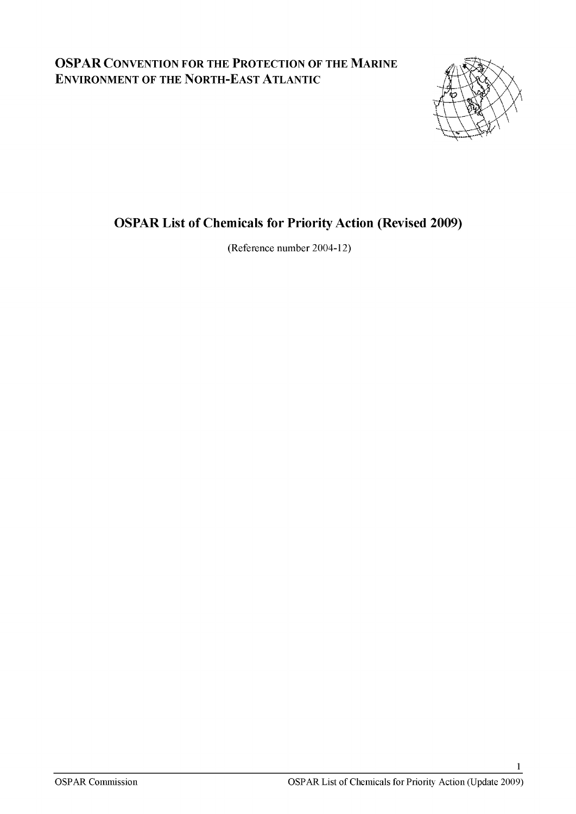## **OSPAR CONVENTION FOR THE PROTECTION OF THE MARINE ENVIRONMENT OF THE NORTH-EAST ATLANTIC**



## **OSPAR List of Chemicals for Priority Action (Revised 2009)**

**(Reference number 2004-12)**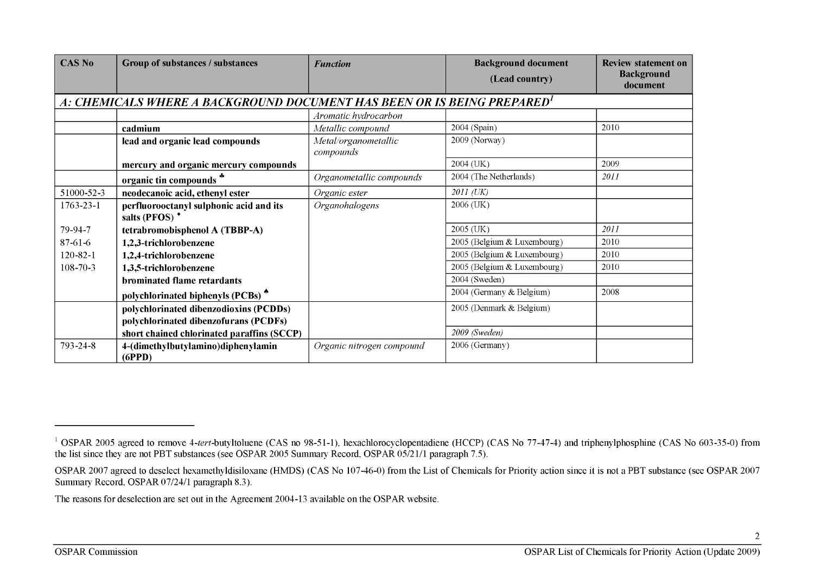| <b>CAS No</b>   | Group of substances / substances                                                | <b>Function</b>                   | <b>Background document</b>  | <b>Review statement on</b>    |
|-----------------|---------------------------------------------------------------------------------|-----------------------------------|-----------------------------|-------------------------------|
|                 |                                                                                 |                                   | (Lead country)              | <b>Background</b><br>document |
|                 | A: CHEMICALS WHERE A BACKGROUND DOCUMENT HAS BEEN OR IS BEING PREPARED'         |                                   |                             |                               |
|                 |                                                                                 | Aromatic hydrocarbon              |                             |                               |
|                 | cadmium                                                                         | Metallic compound                 | 2004 (Spain)                | 2010                          |
|                 | lead and organic lead compounds                                                 | Metal/organometallic<br>compounds | 2009 (Norway)               |                               |
|                 | mercury and organic mercury compounds                                           |                                   | 2004 (UK)                   | 2009                          |
|                 | organic tin compounds *                                                         | Organometallic compounds          | 2004 (The Netherlands)      | 2011                          |
| 51000-52-3      | neodecanoic acid, ethenyl ester                                                 | Organic ester                     | 2011 (UK)                   |                               |
| $1763 - 23 - 1$ | perfluorooctanyl sulphonic acid and its<br>salts (PFOS) <sup>+</sup>            | Organohalogens                    | $2006$ (UK)                 |                               |
| 79-94-7         | tetrabromobisphenol A (TBBP-A)                                                  |                                   | 2005 (UK)                   | 2011                          |
| 87-61-6         | 1,2,3-trichlorobenzene                                                          |                                   | 2005 (Belgium & Luxembourg) | 2010                          |
| $120 - 82 - 1$  | 1,2,4-trichlorobenzene                                                          |                                   | 2005 (Belgium & Luxembourg) | 2010                          |
| $108 - 70 - 3$  | 1,3,5-trichlorobenzene                                                          |                                   | 2005 (Belgium & Luxembourg) | 2010                          |
|                 | <b>brominated flame retardants</b>                                              |                                   | 2004 (Sweden)               |                               |
|                 | polychlorinated biphenyls (PCBs) <sup>®</sup>                                   |                                   | 2004 (Germany & Belgium)    | 2008                          |
|                 | polychlorinated dibenzodioxins (PCDDs)<br>polychlorinated dibenzofurans (PCDFs) |                                   | 2005 (Denmark & Belgium)    |                               |
|                 | short chained chlorinated paraffins (SCCP)                                      |                                   | 2009 (Sweden)               |                               |
| 793-24-8        | 4-(dimethylbutylamino)diphenylamin<br>(6PPD)                                    | Organic nitrogen compound         | 2006 (Germany)              |                               |

<sup>&</sup>lt;sup>1</sup> OSPAR 2005 agreed to remove 4-tert-butyltoluene (CAS no 98-51-1), hexachlorocyclopentadiene (HCCP) (CAS No 77-47-4) and triphenylphosphine (CAS No 603-35-0) from the list since they are not PBT substances (see OSPAR 2005 Summary Record, OSPAR 05/21/1 paragraph 7.5).

OSPAR 2007 agreed to deselect hexamethyldisiloxane (HMDS) (CAS No 107-46-0) from the List of Chemicals for Priority action since it is not a PBT substance (see OSPAR 2007 Summary Record, OSPAR 07/24/1 paragraph 8.3).

The reasons for deselection are set out in the Agreement 2004-13 available on the OSPAR website.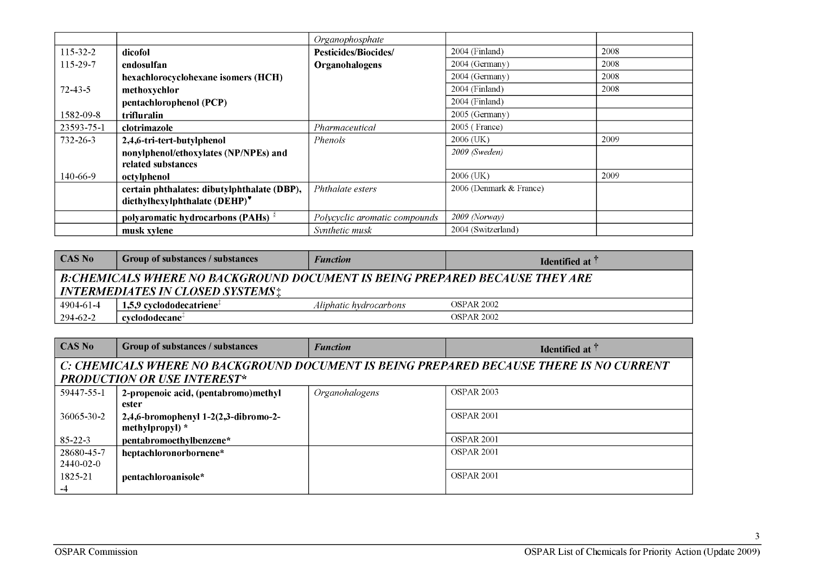|                |                                                | Organophosphate               |                         |      |
|----------------|------------------------------------------------|-------------------------------|-------------------------|------|
| $115 - 32 - 2$ | dicofol                                        | <b>Pesticides/Biocides/</b>   | 2004 (Finland)          | 2008 |
| 115-29-7       | endosulfan                                     | <b>Organohalogens</b>         | 2004 (Germany)          | 2008 |
|                | hexachlorocyclohexane isomers (HCH)            |                               | 2004 (Germany)          | 2008 |
| $72 - 43 - 5$  | methoxychlor                                   |                               | 2004 (Finland)          | 2008 |
|                | pentachlorophenol (PCP)                        |                               | 2004 (Finland)          |      |
| 1582-09-8      | trifluralin                                    |                               | 2005 (Germany)          |      |
| 23593-75-1     | clotrimazole                                   | Pharmaceutical                | 2005 (France)           |      |
| $732 - 26 - 3$ | 2,4,6-tri-tert-butylphenol                     | <i>Phenols</i>                | 2006 (UK)               | 2009 |
|                | nonylphenol/ethoxylates (NP/NPEs) and          |                               | 2009 (Sweden)           |      |
|                | related substances                             |                               |                         |      |
| 140-66-9       | octylphenol                                    |                               | 2006 (UK)               | 2009 |
|                | certain phthalates: dibutylphthalate (DBP),    | Phthalate esters              | 2006 (Denmark & France) |      |
|                | diethylhexylphthalate (DEHP)*                  |                               |                         |      |
|                | polyaromatic hydrocarbons (PAHs) $\frac{8}{3}$ | Polycyclic aromatic compounds | $2009$ (Norway)         |      |
|                | musk xylene                                    | Synthetic musk                | 2004 (Switzerland)      |      |

| $\overline{\phantom{a}}$ CAS No                                                                                               | Group of substances / substances        | <b>Function</b>        | <b>Identified at 1</b> |
|-------------------------------------------------------------------------------------------------------------------------------|-----------------------------------------|------------------------|------------------------|
| <b>B:CHEMICALS WHERE NO BACKGROUND DOCUMENT IS BEING PREPARED BECAUSE THEY ARE</b><br><b>INTERMEDIATES IN CLOSED SYSTEMS:</b> |                                         |                        |                        |
| 4904-61-4                                                                                                                     | $-1.5.9$ cyclododecatriene <sup>+</sup> | Aliphatic hydrocarbons | OSPAR 2002             |
| 294-62-2                                                                                                                      | $cv$ clododecane <sup>+</sup>           |                        | <b>OSPAR 2002</b>      |

| <b>CAS No</b>                                                                                                                 | Group of substances / substances                          | <b>Function</b> | Identified at $\uparrow$ |
|-------------------------------------------------------------------------------------------------------------------------------|-----------------------------------------------------------|-----------------|--------------------------|
| C: CHEMICALS WHERE NO BACKGROUND DOCUMENT IS BEING PREPARED BECAUSE THERE IS NO CURRENT<br><b>PRODUCTION OR USE INTEREST*</b> |                                                           |                 |                          |
| 59447-55-1                                                                                                                    | 2-propenoic acid, (pentabromo)methyl<br>ester             | Organohalogens  | <b>OSPAR 2003</b>        |
| 36065-30-2                                                                                                                    | 2,4,6-bromophenyl 1-2(2,3-dibromo-2-<br>methylpropyl) $*$ |                 | OSPAR <sub>2001</sub>    |
| $85 - 22 - 3$                                                                                                                 | pentabromoethylbenzene*                                   |                 | OSPAR <sub>2001</sub>    |
| 28680-45-7<br>$2440 - 02 - 0$                                                                                                 | heptachloronorbornene*                                    |                 | OSPAR <sub>2001</sub>    |
| 1825-21<br>$-4$                                                                                                               | pentachloroanisole*                                       |                 | OSPAR <sub>2001</sub>    |

 $\overline{3}$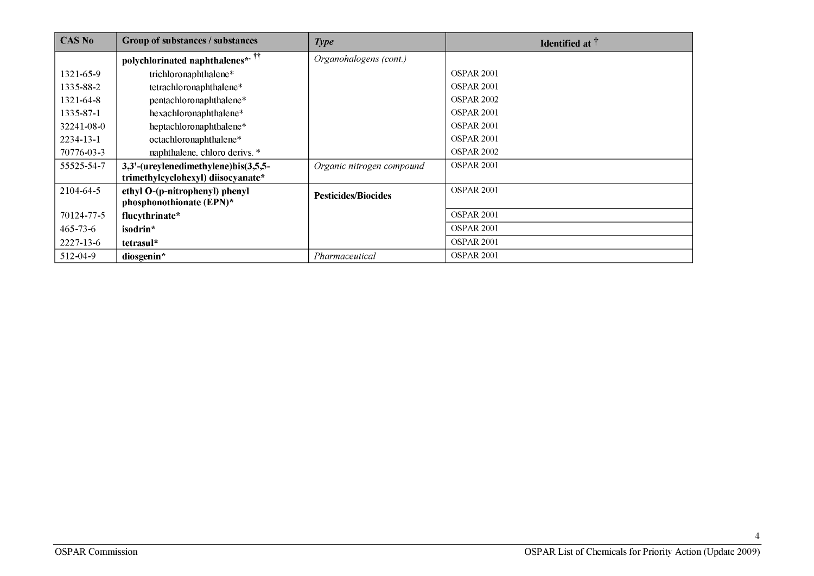| <b>CAS No</b>   | Group of substances / substances                           | <b>Type</b>                | <b>Identified at</b> $\uparrow$ |
|-----------------|------------------------------------------------------------|----------------------------|---------------------------------|
|                 | polychlorinated naphthalenes*. <sup>††</sup>               | Organohalogens (cont.)     |                                 |
| 1321-65-9       | trichloronaphthalene*                                      |                            | OSPAR <sub>2001</sub>           |
| 1335-88-2       | tetrachloronaphthalene*                                    |                            | OSPAR <sub>2001</sub>           |
| 1321-64-8       | pentachloronaphthalene*                                    |                            | <b>OSPAR 2002</b>               |
| 1335-87-1       | hexachloronaphthalene*                                     |                            | OSPAR <sub>2001</sub>           |
| 32241-08-0      | heptachloronaphthalene*                                    |                            | OSPAR <sub>2001</sub>           |
| $2234 - 13 - 1$ | octachloronaphthalene*                                     |                            | OSPAR <sub>2001</sub>           |
| 70776-03-3      | naphthalene, chloro derivs. *                              |                            | OSPAR <sub>2002</sub>           |
| 55525-54-7      | 3,3'-(ureylenedimethylene)bis(3,5,5-                       | Organic nitrogen compound  | OSPAR <sub>2001</sub>           |
|                 | trimethylcyclohexyl) diisocyanate*                         |                            |                                 |
| 2104-64-5       | ethyl O-(p-nitrophenyl) phenyl<br>phosphonothionate (EPN)* | <b>Pesticides/Biocides</b> | OSPAR <sub>2001</sub>           |
| 70124-77-5      | flucythrinate*                                             |                            | OSPAR <sub>2001</sub>           |
| $465 - 73 - 6$  | isodrin*                                                   |                            | OSPAR <sub>2001</sub>           |
| 2227-13-6       | tetrasul*                                                  |                            | OSPAR <sub>2001</sub>           |
| 512-04-9        | diosgenin*                                                 | Pharmaceutical             | OSPAR <sub>2001</sub>           |

4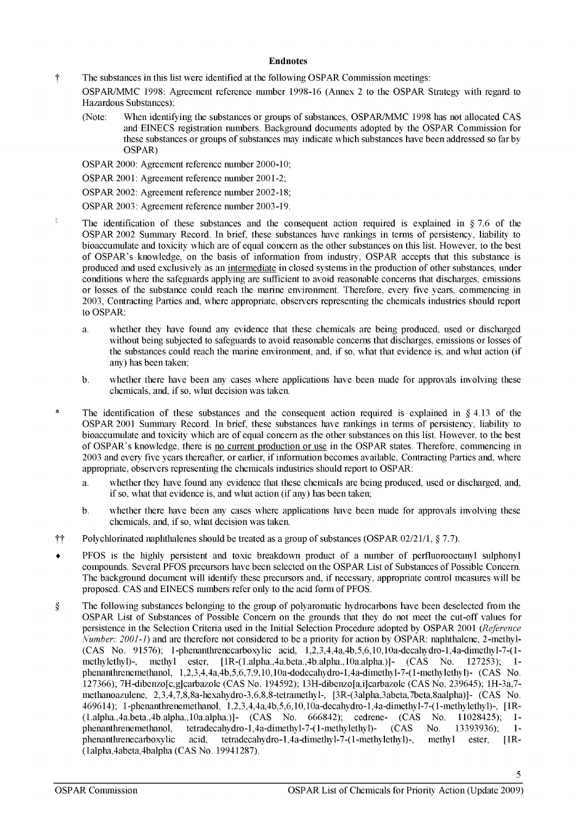## **Endnotes**

f The substances in this list were identified at the following OSPAR Commission meetings:

OSPAR/MMC 1998: Agreement reference number 1998-16 (Annex 2 to the OSPAR Strategy with regard to Hazardous Substances);

(Note: When identifying the substances or groups of substances, OSPAR/MMC 1998 has not allocated CAS and EINECS registration numbers. Background documents adopted by the OSPAR Commission for these substances or groups of substances may indicate which substances have been addressed so far by OSPAR)

OSPAR 2000: Agreement reference number 2000-10;

OSPAR 2001: Agreement reference number 2001-2;

OSPAR 2002: Agreement reference number 2002-18;

- OSPAR 2003: Agreement reference number 2003-19.
- <sup> $\ddagger$ </sup> The identification of these substances and the consequent action required is explained in § 7.6 of the OSPAR 2002 Summary Record. In brief, these substances have rankings in terms of persistency, liability to bioaccumulate and toxicity which are of equal concern as the other substances on this list. However, to the best of OSPAR's knowledge, on the basis of information from industry, OSPAR accepts that this substance is produced and used exclusively as an intermediate in closed systems in the production of other substances, under conditions where the safeguards applying are sufficient to avoid reasonable concerns that discharges, emissions or losses of the substance could reach the marine environment. Therefore, every five years, commencing in 2003, Contracting Parties and, where appropriate, observers representing the chemicals industries should report to OSPAR:
	- a. whether they have found any evidence that these chemicals are being produced, used or discharged without being subjected to safeguards to avoid reasonable concerns that discharges, emissions or losses of the substances could reach the marine environment, and, if so, what that evidence is, and what action (if any) has been taken;
	- b. whether there have been any cases where applications have been made for approvals involving these chemicals, and, if so, what decision was taken.
- \* The identification of these substances and the consequent action required is explained in § 4.13 of the OSPAR 2001 Summary Record. In brief, these substances have rankings in terms of persistency, liability to bioaccumulate and toxicity which are of equal concern as the other substances on this list. However, to the best of OSPAR's knowledge, there is no current production or use in the OSPAR states. Therefore, commencing in 2003 and every five years thereafter, or earlier, if information becomes available, Contracting Parties and, where appropriate, observers representing the chemicals industries should report to OSPAR:
	- a. whether they have found any evidence that these chemicals are being produced, used or discharged, and, if so, what that evidence is, and what action (if any) has been taken;
	- b. whether there have been any cases where applications have been made for approvals involving these chemicals, and, if so, what decision was taken.
- $\ddot{\tau}$  Polychlorinated naphthalenes should be treated as a group of substances (OSPAR 02/21/1, § 7.7).
- PFOS is the highly persistent and toxic breakdown product of a number of perfluorooctanyl sulphonyl compounds. Several PFOS precursors have been selected on the OSPAR List of Substances of Possible Concern. The background document will identify these precursors and, if necessary, appropriate control measures will be proposed. CAS and EINECS numbers refer only to the acid form of PFOS.
- § The following substances belonging to the group of polyaromatic hydrocarbons have been deselected from the OSPAR List of Substances of Possible Concern on the grounds that they do not meet the cut-off values for persistence in the Selection Criteria used in the Initial Selection Procedure adopted by OSPAR 2001 *(.Reference Number: 2001-1*) and are therefore not considered to be a priority for action by OSPAR: naphthalene, 2-methyl-(CAS No. 91576); 1-phenanthrenecarboxylic acid, l,2,3,4,4a,4b,5,6,10,10a-decahydro-l,4a-dimethyl-7-(lmethylethyl)-, methyl ester, [lR-(l.alpha.,4a.beta.,4b.alpha.,10a.alpha.)]- (CAS No. 127253); 1 phenanthrenemethanol, l,2,3,4,4a,4b,5,6,7,9,10,10a-dodecahydro-l,4a-dimethyl-7-(l-methylethyl)- (CAS No. 127366); 7H-dibenzo[c,g]carbazole (CAS No. 194592); 13H-dibenzo[a,i]carbazole (CAS No. 239645); lH-3a,7 methanoazulene, 2,3,4,7,8,8a-hexahydro-3,6,8,8-tetramethyl-, [3R-(3alpha,3abeta,7beta,8aalpha)]- (CAS No. 469614); 1-phenanthrenemethanol, l,2,3,4,4a,4b,5,6,10,10a-decahydro-l,4a-dimethyl-7-(l-methylethyl)-, [1R- (l.alpha.,4a.beta.,4b.alpha.,lOa.alpha.)]- (CAS No. 666842); cedrene- (CAS No. 11028425); 1 phenanthrenemethanol, tetradecahydro-l,4a-dimethyl-7-(l-methylethyl)- (CAS No. 13393936); 1 phenanthrenecarboxylic acid, tetradecahydro-l,4a-dimethyl-7-(l-methylethyl)-, methyl ester, [1R- ( 1 alpha,4abeta,4balpha (CAS No. 19941287).